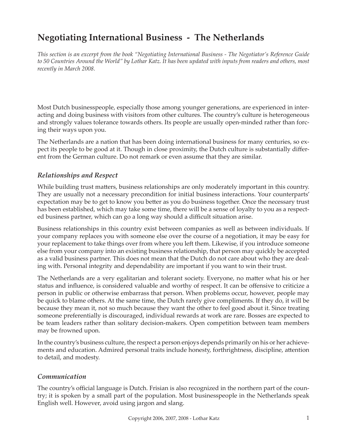# **Negotiating International Business - The Netherlands**

*This section is an excerpt from the book "Negotiating International Business - The Negotiator's Reference Guide to 50 Countries Around the World" by Lothar Katz. It has been updated with inputs from readers and others, most recently in March 2008.*

Most Dutch businesspeople, especially those among younger generations, are experienced in interacting and doing business with visitors from other cultures. The country's culture is heterogeneous and strongly values tolerance towards others. Its people are usually open-minded rather than forcing their ways upon you.

The Netherlands are a nation that has been doing international business for many centuries, so expect its people to be good at it. Though in close proximity, the Dutch culture is substantially different from the German culture. Do not remark or even assume that they are similar.

## *Relationships and Respect*

While building trust matters, business relationships are only moderately important in this country. They are usually not a necessary precondition for initial business interactions. Your counterparts' expectation may be to get to know you better as you do business together. Once the necessary trust has been established, which may take some time, there will be a sense of loyalty to you as a respected business partner, which can go a long way should a difficult situation arise.

Business relationships in this country exist between companies as well as between individuals. If your company replaces you with someone else over the course of a negotiation, it may be easy for your replacement to take things over from where you left them. Likewise, if you introduce someone else from your company into an existing business relationship, that person may quickly be accepted as a valid business partner. This does not mean that the Dutch do not care about who they are dealing with. Personal integrity and dependability are important if you want to win their trust.

The Netherlands are a very egalitarian and tolerant society. Everyone, no matter what his or her status and influence, is considered valuable and worthy of respect. It can be offensive to criticize a person in public or otherwise embarrass that person. When problems occur, however, people may be quick to blame others. At the same time, the Dutch rarely give compliments. If they do, it will be because they mean it, not so much because they want the other to feel good about it. Since treating someone preferentially is discouraged, individual rewards at work are rare. Bosses are expected to be team leaders rather than solitary decision-makers. Open competition between team members may be frowned upon.

In the country's business culture, the respect a person enjoys depends primarily on his or her achievements and education. Admired personal traits include honesty, forthrightness, discipline, attention to detail, and modesty.

## *Communication*

The country's official language is Dutch. Frisian is also recognized in the northern part of the country; it is spoken by a small part of the population. Most businesspeople in the Netherlands speak English well. However, avoid using jargon and slang.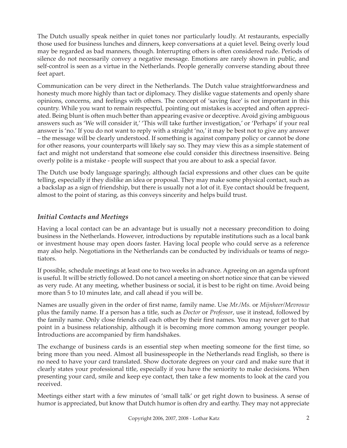The Dutch usually speak neither in quiet tones nor particularly loudly. At restaurants, especially those used for business lunches and dinners, keep conversations at a quiet level. Being overly loud may be regarded as bad manners, though. Interrupting others is often considered rude. Periods of silence do not necessarily convey a negative message. Emotions are rarely shown in public, and self-control is seen as a virtue in the Netherlands. People generally converse standing about three feet apart.

Communication can be very direct in the Netherlands. The Dutch value straightforwardness and honesty much more highly than tact or diplomacy. They dislike vague statements and openly share opinions, concerns, and feelings with others. The concept of 'saving face' is not important in this country. While you want to remain respectful, pointing out mistakes is accepted and often appreciated. Being blunt is often much better than appearing evasive or deceptive. Avoid giving ambiguous answers such as 'We will consider it,' 'This will take further investigation,' or 'Perhaps' if your real answer is 'no.' If you do not want to reply with a straight 'no,' it may be best not to give any answer – the message will be clearly understood. If something is against company policy or cannot be done for other reasons, your counterparts will likely say so. They may view this as a simple statement of fact and might not understand that someone else could consider this directness insensitive. Being overly polite is a mistake - people will suspect that you are about to ask a special favor.

The Dutch use body language sparingly, although facial expressions and other clues can be quite telling, especially if they dislike an idea or proposal. They may make some physical contact, such as a backslap as a sign of friendship, but there is usually not a lot of it. Eye contact should be frequent, almost to the point of staring, as this conveys sincerity and helps build trust.

# *Initial Contacts and Meetings*

Having a local contact can be an advantage but is usually not a necessary precondition to doing business in the Netherlands. However, introductions by reputable institutions such as a local bank or investment house may open doors faster. Having local people who could serve as a reference may also help. Negotiations in the Netherlands can be conducted by individuals or teams of negotiators.

If possible, schedule meetings at least one to two weeks in advance. Agreeing on an agenda upfront is useful. It will be strictly followed. Do not cancel a meeting on short notice since that can be viewed as very rude. At any meeting, whether business or social, it is best to be right on time. Avoid being more than 5 to 10 minutes late, and call ahead if you will be.

Names are usually given in the order of first name, family name. Use *Mr./Ms.* or *Mijnheer/Mevrouw* plus the family name. If a person has a title, such as *Doctor* or *Professor*, use it instead, followed by the family name. Only close friends call each other by their first names. You may never get to that point in a business relationship, although it is becoming more common among younger people. Introductions are accompanied by firm handshakes.

The exchange of business cards is an essential step when meeting someone for the first time, so bring more than you need. Almost all businesspeople in the Netherlands read English, so there is no need to have your card translated. Show doctorate degrees on your card and make sure that it clearly states your professional title, especially if you have the seniority to make decisions. When presenting your card, smile and keep eye contact, then take a few moments to look at the card you received.

Meetings either start with a few minutes of 'small talk' or get right down to business. A sense of humor is appreciated, but know that Dutch humor is often dry and earthy. They may not appreciate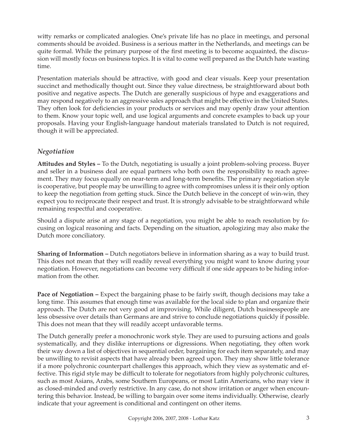witty remarks or complicated analogies. One's private life has no place in meetings, and personal comments should be avoided. Business is a serious matter in the Netherlands, and meetings can be quite formal. While the primary purpose of the first meeting is to become acquainted, the discussion will mostly focus on business topics. It is vital to come well prepared as the Dutch hate wasting time.

Presentation materials should be attractive, with good and clear visuals. Keep your presentation succinct and methodically thought out. Since they value directness, be straightforward about both positive and negative aspects. The Dutch are generally suspicious of hype and exaggerations and may respond negatively to an aggressive sales approach that might be effective in the United States. They often look for deficiencies in your products or services and may openly draw your attention to them. Know your topic well, and use logical arguments and concrete examples to back up your proposals. Having your English-language handout materials translated to Dutch is not required, though it will be appreciated.

# *Negotiation*

**Att itudes and Styles –** To the Dutch, negotiating is usually a joint problem-solving process. Buyer and seller in a business deal are equal partners who both own the responsibility to reach agreement. They may focus equally on near-term and long-term benefits. The primary negotiation style is cooperative, but people may be unwilling to agree with compromises unless it is their only option to keep the negotiation from getting stuck. Since the Dutch believe in the concept of win-win, they expect you to reciprocate their respect and trust. It is strongly advisable to be straightforward while remaining respectful and cooperative.

Should a dispute arise at any stage of a negotiation, you might be able to reach resolution by focusing on logical reasoning and facts. Depending on the situation, apologizing may also make the Dutch more conciliatory.

**Sharing of Information –** Dutch negotiators believe in information sharing as a way to build trust. This does not mean that they will readily reveal everything you might want to know during your negotiation. However, negotiations can become very difficult if one side appears to be hiding information from the other.

**Pace of Negotiation –** Expect the bargaining phase to be fairly swift, though decisions may take a long time. This assumes that enough time was available for the local side to plan and organize their approach. The Dutch are not very good at improvising. While diligent, Dutch businesspeople are less obsessive over details than Germans are and strive to conclude negotiations quickly if possible. This does not mean that they will readily accept unfavorable terms.

The Dutch generally prefer a monochronic work style. They are used to pursuing actions and goals systematically, and they dislike interruptions or digressions. When negotiating, they often work their way down a list of objectives in sequential order, bargaining for each item separately, and may be unwilling to revisit aspects that have already been agreed upon. They may show little tolerance if a more polychronic counterpart challenges this approach, which they view as systematic and effective. This rigid style may be difficult to tolerate for negotiators from highly polychronic cultures, such as most Asians, Arabs, some Southern Europeans, or most Latin Americans, who may view it as closed-minded and overly restrictive. In any case, do not show irritation or anger when encountering this behavior. Instead, be willing to bargain over some items individually. Otherwise, clearly indicate that your agreement is conditional and contingent on other items.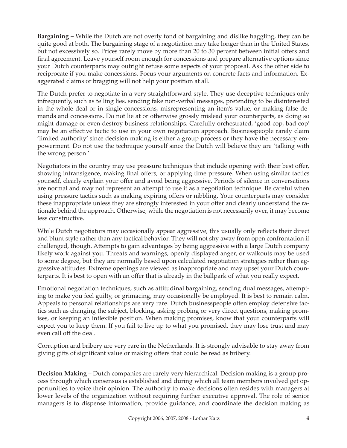**Bargaining –** While the Dutch are not overly fond of bargaining and dislike haggling, they can be quite good at both. The bargaining stage of a negotiation may take longer than in the United States, but not excessively so. Prices rarely move by more than 20 to 30 percent between initial offers and final agreement. Leave yourself room enough for concessions and prepare alternative options since your Dutch counterparts may outright refuse some aspects of your proposal. Ask the other side to reciprocate if you make concessions. Focus your arguments on concrete facts and information. Exaggerated claims or bragging will not help your position at all.

The Dutch prefer to negotiate in a very straightforward style. They use deceptive techniques only infrequently, such as telling lies, sending fake non-verbal messages, pretending to be disinterested in the whole deal or in single concessions, misrepresenting an item's value, or making false demands and concessions. Do not lie at or otherwise grossly mislead your counterparts, as doing so might damage or even destroy business relationships. Carefully orchestrated, 'good cop, bad cop' may be an effective tactic to use in your own negotiation approach. Businesspeople rarely claim 'limited authority' since decision making is either a group process or they have the necessary empowerment. Do not use the technique yourself since the Dutch will believe they are 'talking with the wrong person.'

Negotiators in the country may use pressure techniques that include opening with their best offer, showing intransigence, making final offers, or applying time pressure. When using similar tactics yourself, clearly explain your offer and avoid being aggressive. Periods of silence in conversations are normal and may not represent an attempt to use it as a negotiation technique. Be careful when using pressure tactics such as making expiring offers or nibbling. Your counterparts may consider these inappropriate unless they are strongly interested in your offer and clearly understand the rationale behind the approach. Otherwise, while the negotiation is not necessarily over, it may become less constructive.

While Dutch negotiators may occasionally appear aggressive, this usually only reflects their direct and blunt style rather than any tactical behavior. They will not shy away from open confrontation if challenged, though. Attempts to gain advantages by being aggressive with a large Dutch company likely work against you. Threats and warnings, openly displayed anger, or walkouts may be used to some degree, but they are normally based upon calculated negotiation strategies rather than aggressive attitudes. Extreme openings are viewed as inappropriate and may upset your Dutch counterparts. It is best to open with an offer that is already in the ballpark of what you really expect.

Emotional negotiation techniques, such as attitudinal bargaining, sending dual messages, attempting to make you feel guilty, or grimacing, may occasionally be employed. It is best to remain calm. Appeals to personal relationships are very rare. Dutch businesspeople often employ defensive tactics such as changing the subject, blocking, asking probing or very direct questions, making promises, or keeping an inflexible position. When making promises, know that your counterparts will expect you to keep them. If you fail to live up to what you promised, they may lose trust and may even call off the deal.

Corruption and bribery are very rare in the Netherlands. It is strongly advisable to stay away from giving gifts of significant value or making offers that could be read as bribery.

**Decision Making –** Dutch companies are rarely very hierarchical. Decision making is a group process through which consensus is established and during which all team members involved get opportunities to voice their opinion. The authority to make decisions often resides with managers at lower levels of the organization without requiring further executive approval. The role of senior managers is to dispense information, provide guidance, and coordinate the decision making as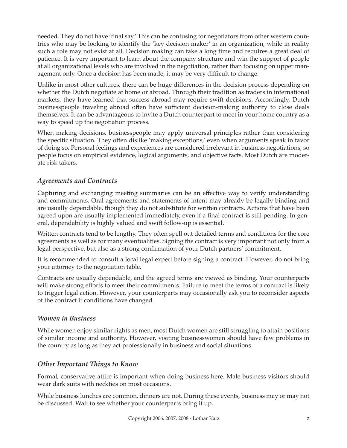needed. They do not have 'final say.' This can be confusing for negotiators from other western countries who may be looking to identify the 'key decision maker' in an organization, while in reality such a role may not exist at all. Decision making can take a long time and requires a great deal of patience. It is very important to learn about the company structure and win the support of people at all organizational levels who are involved in the negotiation, rather than focusing on upper management only. Once a decision has been made, it may be very difficult to change.

Unlike in most other cultures, there can be huge differences in the decision process depending on whether the Dutch negotiate at home or abroad. Through their tradition as traders in international markets, they have learned that success abroad may require swift decisions. Accordingly, Dutch businesspeople traveling abroad often have sufficient decision-making authority to close deals themselves. It can be advantageous to invite a Dutch counterpart to meet in your home country as a way to speed up the negotiation process.

When making decisions, businesspeople may apply universal principles rather than considering the specific situation. They often dislike 'making exceptions,' even when arguments speak in favor of doing so. Personal feelings and experiences are considered irrelevant in business negotiations, so people focus on empirical evidence, logical arguments, and objective facts. Most Dutch are moderate risk takers.

# *Agreements and Contracts*

Capturing and exchanging meeting summaries can be an effective way to verify understanding and commitments. Oral agreements and statements of intent may already be legally binding and are usually dependable, though they do not substitute for written contracts. Actions that have been agreed upon are usually implemented immediately, even if a final contract is still pending. In general, dependability is highly valued and swift follow-up is essential.

Written contracts tend to be lengthy. They often spell out detailed terms and conditions for the core agreements as well as for many eventualities. Signing the contract is very important not only from a legal perspective, but also as a strong confirmation of your Dutch partners' commitment.

It is recommended to consult a local legal expert before signing a contract. However, do not bring your attorney to the negotiation table.

Contracts are usually dependable, and the agreed terms are viewed as binding. Your counterparts will make strong efforts to meet their commitments. Failure to meet the terms of a contract is likely to trigger legal action. However, your counterparts may occasionally ask you to reconsider aspects of the contract if conditions have changed.

## *Women in Business*

While women enjoy similar rights as men, most Dutch women are still struggling to attain positions of similar income and authority. However, visiting businesswomen should have few problems in the country as long as they act professionally in business and social situations.

## *Other Important Things to Know*

Formal, conservative attire is important when doing business here. Male business visitors should wear dark suits with neckties on most occasions.

While business lunches are common, dinners are not. During these events, business may or may not be discussed. Wait to see whether your counterparts bring it up.